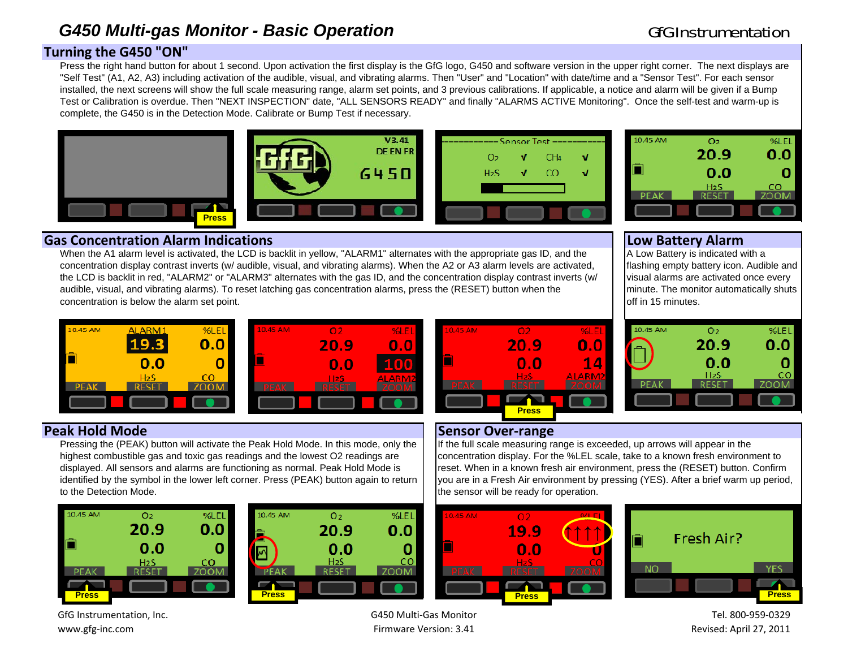## G450 Multi-gas Monitor - Basic Operation Channel Communication GfG Instrumentation

## **Turnin g the G450 "ON"**

Press the right hand button for about 1 second. Upon activation the first display is the GfG logo, G450 and software version in the upper right corner. The next displays are "Self Test" (A1, A2, A3) including activation of the audible, visual, and vibrating alarms. Then "User" and "Location" with date/time and a "Sensor Test". For each sensor installed, the next screens will show the full scale measuring range, alarm set points, and 3 previous calibrations. If applicable, a notice and alarm will be given if a Bump Test or Calibration is overdue. Then "NEXT INSPECTION" date, "ALL SENSORS READY" and finally "ALARMS ACTIVE Monitoring". Once the self-test and warm-up is complete, the G450 is in the Detection Mode. Calibrate or Bump Test if necessary.









### **Gas Concentration Alarm Indications Low Batter Low Battery Alarm**

10.45 AM

A Low Battery is indicated with a flashing empty battery icon. Audible and visual alarms are activated once every minute. The monitor automatically shuts off in 15 minutes.

 $O<sub>2</sub>$ 

20.9

 $0.0$ 

 $II2S$ 

**RESET** 

%LEL

 $0.0$ 

ZOOM

0

 $CO$ 



concentration is below the alarm set point.



When the A1 alarm level is activated, the LCD is backlit in yellow, "ALARM1" alternates with the appropriate gas ID, and the concentration display contrast inverts (w/ audible, visual, and vibrating alarms). When the A2 or A3 alarm levels are activated, the LCD is backlit in red, "ALARM2" or "ALARM3" alternates with the gas ID, and the concentration display contrast inverts (w/

audible, visual, and vibrating alarms). To reset latching gas concentration alarms, press the (RESET) button when the

### **Peak Hold**

Pressing the (PEAK) button will activate the Peak Hold Mode. In this mode, only the highest combustible gas and toxic gas readings and the lowest O2 readings are displayed. All sensors and alarms are functioning as normal. Peak Hold Mode is identified by the symbol in the lower left corner. Press (PEAK) button again to return to the Detection Mode.



| M  | O <sub>2</sub>   | %LCL | 10.45 AM     | O <sub>2</sub>   | %LEL | 10.45 AM   | O 2          |
|----|------------------|------|--------------|------------------|------|------------|--------------|
|    | 20.9             | 0.0  | -            | 20.9             | 0.0  |            | <u> 19.9</u> |
|    | 0.0              |      |              | 0.0              |      |            | 0.           |
|    | H <sub>2</sub> S | co   |              | H <sub>2</sub> S | cо   |            | -l2S         |
|    |                  |      |              |                  |      | <b>ÆAV</b> |              |
|    |                  |      |              |                  |      |            |              |
| s. |                  |      | <b>Press</b> |                  |      |            | <b>Press</b> |



### **d** Mode  $\qquad$  **Sensor** Over-range

If the full scale measuring range is exceeded, up arrows will appear in the concentration display. For the %LEL scale, take to a known fresh environment to reset. When in a known fresh air environment, press the (RESET) button. Confirm you are in a Fresh Air environment by pressing (YES). After a brief warm up period, the sensor will be ready for operation.





Tel. 800‐959‐0329Revised: April 27, 2011

GfG Instrumentation, Inc. www.gfg‐inc.com

G450 Multi‐Gas Monitor Firmware Version: 3.41